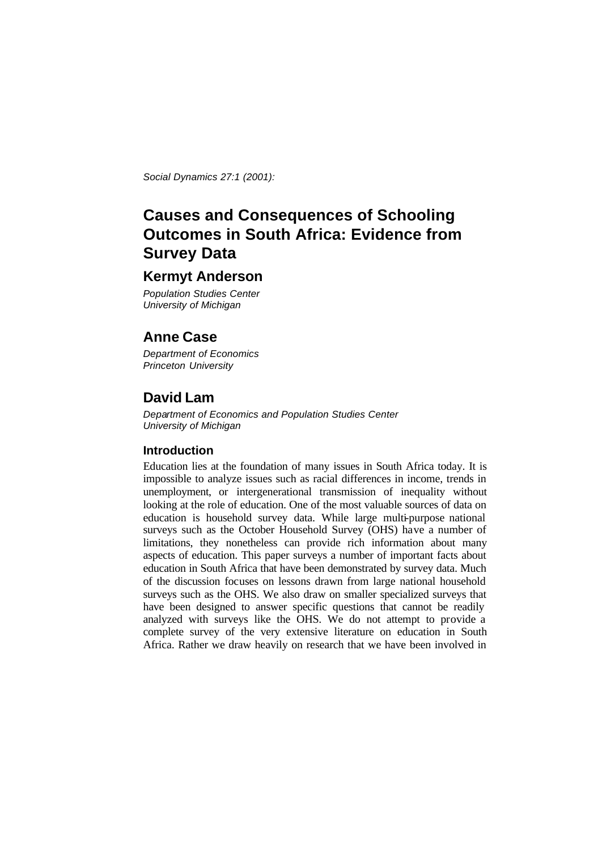*Social Dynamics 27:1 (2001):* 

# **Causes and Consequences of Schooling Outcomes in South Africa: Evidence from Survey Data**

# **Kermyt Anderson**

*Population Studies Center University of Michigan*

# **Anne Case**

*Department of Economics Princeton University*

# **David Lam**

*Department of Economics and Population Studies Center University of Michigan*

### **Introduction**

Education lies at the foundation of many issues in South Africa today. It is impossible to analyze issues such as racial differences in income, trends in unemployment, or intergenerational transmission of inequality without looking at the role of education. One of the most valuable sources of data on education is household survey data. While large multi-purpose national surveys such as the October Household Survey (OHS) have a number of limitations, they nonetheless can provide rich information about many aspects of education. This paper surveys a number of important facts about education in South Africa that have been demonstrated by survey data. Much of the discussion focuses on lessons drawn from large national household surveys such as the OHS. We also draw on smaller specialized surveys that have been designed to answer specific questions that cannot be readily analyzed with surveys like the OHS. We do not attempt to provide a complete survey of the very extensive literature on education in South Africa. Rather we draw heavily on research that we have been involved in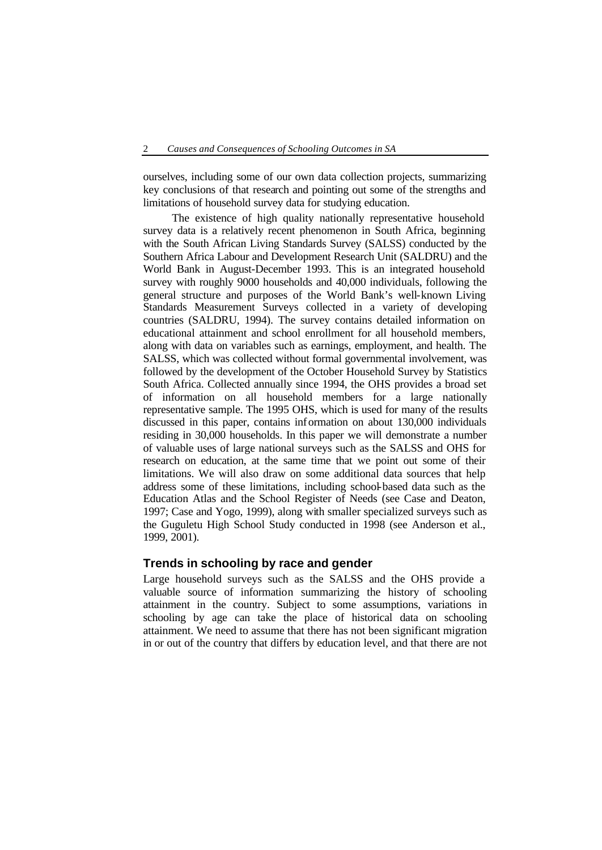ourselves, including some of our own data collection projects, summarizing key conclusions of that research and pointing out some of the strengths and limitations of household survey data for studying education.

The existence of high quality nationally representative household survey data is a relatively recent phenomenon in South Africa, beginning with the South African Living Standards Survey (SALSS) conducted by the Southern Africa Labour and Development Research Unit (SALDRU) and the World Bank in August-December 1993. This is an integrated household survey with roughly 9000 households and 40,000 individuals, following the general structure and purposes of the World Bank's well-known Living Standards Measurement Surveys collected in a variety of developing countries (SALDRU, 1994). The survey contains detailed information on educational attainment and school enrollment for all household members, along with data on variables such as earnings, employment, and health. The SALSS, which was collected without formal governmental involvement, was followed by the development of the October Household Survey by Statistics South Africa. Collected annually since 1994, the OHS provides a broad set of information on all household members for a large nationally representative sample. The 1995 OHS, which is used for many of the results discussed in this paper, contains information on about 130,000 individuals residing in 30,000 households. In this paper we will demonstrate a number of valuable uses of large national surveys such as the SALSS and OHS for research on education, at the same time that we point out some of their limitations. We will also draw on some additional data sources that help address some of these limitations, including school-based data such as the Education Atlas and the School Register of Needs (see Case and Deaton, 1997; Case and Yogo, 1999), along with smaller specialized surveys such as the Guguletu High School Study conducted in 1998 (see Anderson et al., 1999, 2001).

#### **Trends in schooling by race and gender**

Large household surveys such as the SALSS and the OHS provide a valuable source of information summarizing the history of schooling attainment in the country. Subject to some assumptions, variations in schooling by age can take the place of historical data on schooling attainment. We need to assume that there has not been significant migration in or out of the country that differs by education level, and that there are not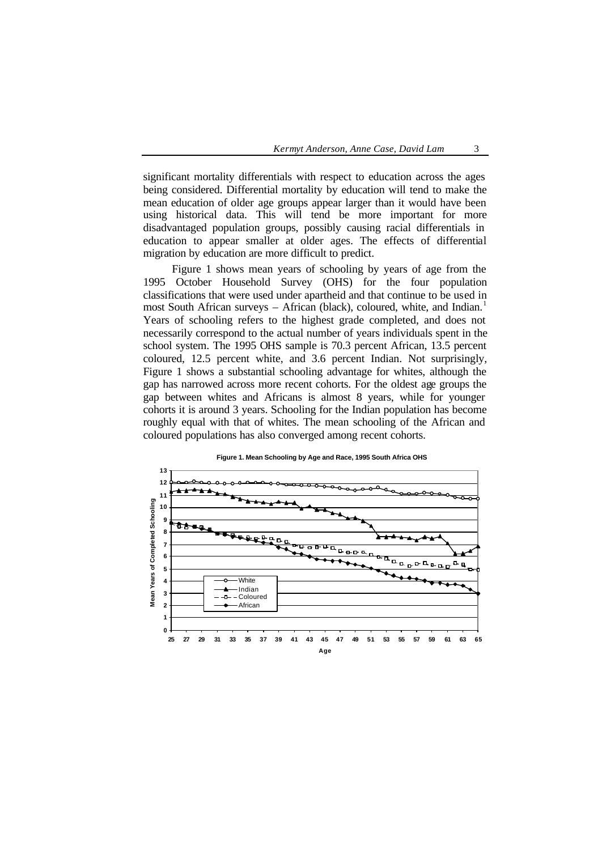significant mortality differentials with respect to education across the ages being considered. Differential mortality by education will tend to make the mean education of older age groups appear larger than it would have been using historical data. This will tend be more important for more disadvantaged population groups, possibly causing racial differentials in education to appear smaller at older ages. The effects of differential migration by education are more difficult to predict.

Figure 1 shows mean years of schooling by years of age from the 1995 October Household Survey (OHS) for the four population classifications that were used under apartheid and that continue to be used in most South African surveys – African (black), coloured, white, and Indian.<sup>1</sup> Years of schooling refers to the highest grade completed, and does not necessarily correspond to the actual number of years individuals spent in the school system. The 1995 OHS sample is 70.3 percent African, 13.5 percent coloured, 12.5 percent white, and 3.6 percent Indian. Not surprisingly, Figure 1 shows a substantial schooling advantage for whites, although the gap has narrowed across more recent cohorts. For the oldest age groups the gap between whites and Africans is almost 8 years, while for younger cohorts it is around 3 years. Schooling for the Indian population has become roughly equal with that of whites. The mean schooling of the African and coloured populations has also converged among recent cohorts.



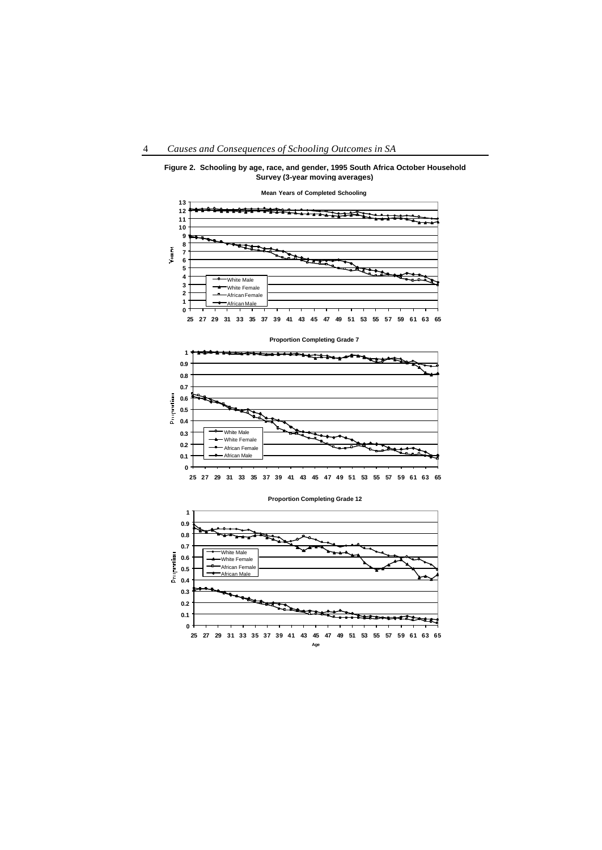

**Figure 2. Schooling by age, race, and gender, 1995 South Africa October Household Survey (3-year moving averages)**

**Proportion Completing Grade 7**



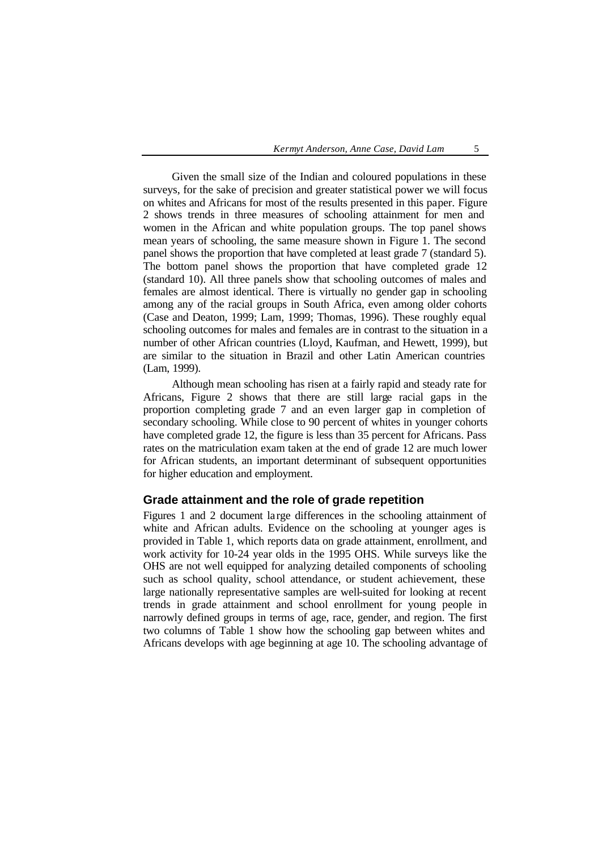Given the small size of the Indian and coloured populations in these surveys, for the sake of precision and greater statistical power we will focus on whites and Africans for most of the results presented in this paper. Figure 2 shows trends in three measures of schooling attainment for men and women in the African and white population groups. The top panel shows mean years of schooling, the same measure shown in Figure 1. The second panel shows the proportion that have completed at least grade 7 (standard 5). The bottom panel shows the proportion that have completed grade 12 (standard 10). All three panels show that schooling outcomes of males and females are almost identical. There is virtually no gender gap in schooling among any of the racial groups in South Africa, even among older cohorts (Case and Deaton, 1999; Lam, 1999; Thomas, 1996). These roughly equal schooling outcomes for males and females are in contrast to the situation in a number of other African countries (Lloyd, Kaufman, and Hewett, 1999), but are similar to the situation in Brazil and other Latin American countries (Lam, 1999).

Although mean schooling has risen at a fairly rapid and steady rate for Africans, Figure 2 shows that there are still large racial gaps in the proportion completing grade 7 and an even larger gap in completion of secondary schooling. While close to 90 percent of whites in younger cohorts have completed grade 12, the figure is less than 35 percent for Africans. Pass rates on the matriculation exam taken at the end of grade 12 are much lower for African students, an important determinant of subsequent opportunities for higher education and employment.

#### **Grade attainment and the role of grade repetition**

Figures 1 and 2 document large differences in the schooling attainment of white and African adults. Evidence on the schooling at younger ages is provided in Table 1, which reports data on grade attainment, enrollment, and work activity for 10-24 year olds in the 1995 OHS. While surveys like the OHS are not well equipped for analyzing detailed components of schooling such as school quality, school attendance, or student achievement, these large nationally representative samples are well-suited for looking at recent trends in grade attainment and school enrollment for young people in narrowly defined groups in terms of age, race, gender, and region. The first two columns of Table 1 show how the schooling gap between whites and Africans develops with age beginning at age 10. The schooling advantage of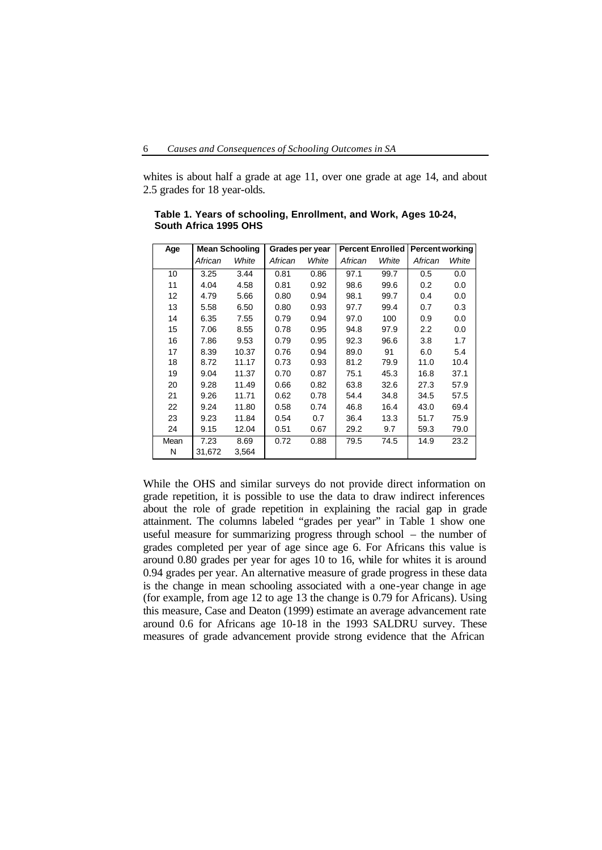whites is about half a grade at age 11, over one grade at age 14, and about 2.5 grades for 18 year-olds.

| Age  | <b>Mean Schooling</b> |       | Grades per year |       | <b>Percent Enrolled</b> |       | <b>Percent working</b> |       |
|------|-----------------------|-------|-----------------|-------|-------------------------|-------|------------------------|-------|
|      | African               | White | African         | White | African                 | White | African                | White |
| 10   | 3.25                  | 3.44  | 0.81            | 0.86  | 97.1                    | 99.7  | 0.5                    | 0.0   |
| 11   | 4.04                  | 4.58  | 0.81            | 0.92  | 98.6                    | 99.6  | 0.2                    | 0.0   |
| 12   | 4.79                  | 5.66  | 0.80            | 0.94  | 98.1                    | 99.7  | 0.4                    | 0.0   |
| 13   | 5.58                  | 6.50  | 0.80            | 0.93  | 97.7                    | 99.4  | 0.7                    | 0.3   |
| 14   | 6.35                  | 7.55  | 0.79            | 0.94  | 97.0                    | 100   | 0.9                    | 0.0   |
| 15   | 7.06                  | 8.55  | 0.78            | 0.95  | 94.8                    | 97.9  | $2.2\phantom{0}$       | 0.0   |
| 16   | 7.86                  | 9.53  | 0.79            | 0.95  | 92.3                    | 96.6  | 3.8                    | 1.7   |
| 17   | 8.39                  | 10.37 | 0.76            | 0.94  | 89.0                    | 91    | 6.0                    | 5.4   |
| 18   | 8.72                  | 11.17 | 0.73            | 0.93  | 81.2                    | 79.9  | 11.0                   | 10.4  |
| 19   | 9.04                  | 11.37 | 0.70            | 0.87  | 75.1                    | 45.3  | 16.8                   | 37.1  |
| 20   | 9.28                  | 11.49 | 0.66            | 0.82  | 63.8                    | 32.6  | 27.3                   | 57.9  |
| 21   | 9.26                  | 11.71 | 0.62            | 0.78  | 54.4                    | 34.8  | 34.5                   | 57.5  |
| 22   | 9.24                  | 11.80 | 0.58            | 0.74  | 46.8                    | 16.4  | 43.0                   | 69.4  |
| 23   | 9.23                  | 11.84 | 0.54            | 0.7   | 36.4                    | 13.3  | 51.7                   | 75.9  |
| 24   | 9.15                  | 12.04 | 0.51            | 0.67  | 29.2                    | 9.7   | 59.3                   | 79.0  |
| Mean | 7.23                  | 8.69  | 0.72            | 0.88  | 79.5                    | 74.5  | 14.9                   | 23.2  |
| N    | 31,672                | 3,564 |                 |       |                         |       |                        |       |

**Table 1. Years of schooling, Enrollment, and Work, Ages 10-24, South Africa 1995 OHS**

While the OHS and similar surveys do not provide direct information on grade repetition, it is possible to use the data to draw indirect inferences about the role of grade repetition in explaining the racial gap in grade attainment. The columns labeled "grades per year" in Table 1 show one useful measure for summarizing progress through school – the number of grades completed per year of age since age 6. For Africans this value is around 0.80 grades per year for ages 10 to 16, while for whites it is around 0.94 grades per year. An alternative measure of grade progress in these data is the change in mean schooling associated with a one-year change in age (for example, from age 12 to age 13 the change is 0.79 for Africans). Using this measure, Case and Deaton (1999) estimate an average advancement rate around 0.6 for Africans age 10-18 in the 1993 SALDRU survey. These measures of grade advancement provide strong evidence that the African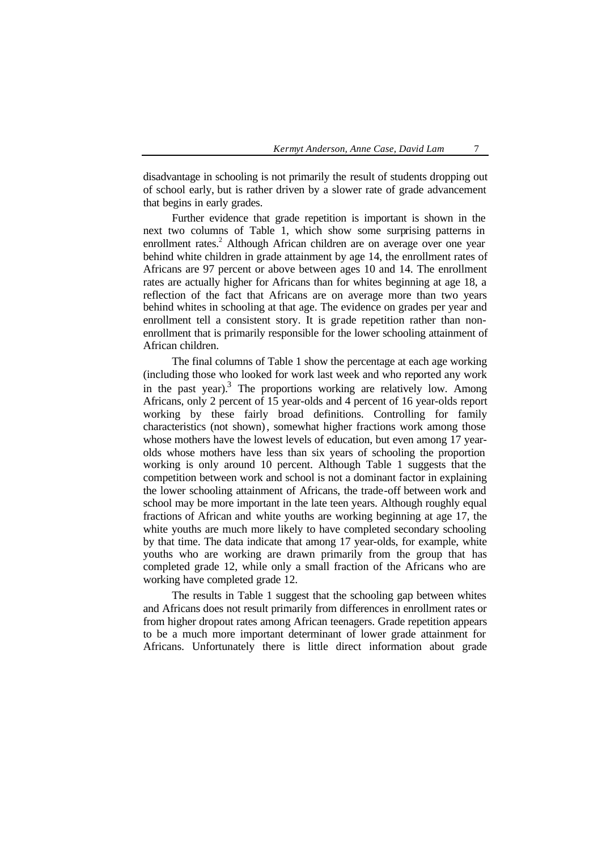disadvantage in schooling is not primarily the result of students dropping out of school early, but is rather driven by a slower rate of grade advancement that begins in early grades.

Further evidence that grade repetition is important is shown in the next two columns of Table 1, which show some surprising patterns in enrollment rates.<sup>2</sup> Although African children are on average over one year behind white children in grade attainment by age 14, the enrollment rates of Africans are 97 percent or above between ages 10 and 14. The enrollment rates are actually higher for Africans than for whites beginning at age 18, a reflection of the fact that Africans are on average more than two years behind whites in schooling at that age. The evidence on grades per year and enrollment tell a consistent story. It is grade repetition rather than nonenrollment that is primarily responsible for the lower schooling attainment of African children.

The final columns of Table 1 show the percentage at each age working (including those who looked for work last week and who reported any work in the past year). $3$  The proportions working are relatively low. Among Africans, only 2 percent of 15 year-olds and 4 percent of 16 year-olds report working by these fairly broad definitions. Controlling for family characteristics (not shown), somewhat higher fractions work among those whose mothers have the lowest levels of education, but even among 17 yearolds whose mothers have less than six years of schooling the proportion working is only around 10 percent. Although Table 1 suggests that the competition between work and school is not a dominant factor in explaining the lower schooling attainment of Africans, the trade-off between work and school may be more important in the late teen years. Although roughly equal fractions of African and white youths are working beginning at age 17, the white youths are much more likely to have completed secondary schooling by that time. The data indicate that among 17 year-olds, for example, white youths who are working are drawn primarily from the group that has completed grade 12, while only a small fraction of the Africans who are working have completed grade 12.

The results in Table 1 suggest that the schooling gap between whites and Africans does not result primarily from differences in enrollment rates or from higher dropout rates among African teenagers. Grade repetition appears to be a much more important determinant of lower grade attainment for Africans. Unfortunately there is little direct information about grade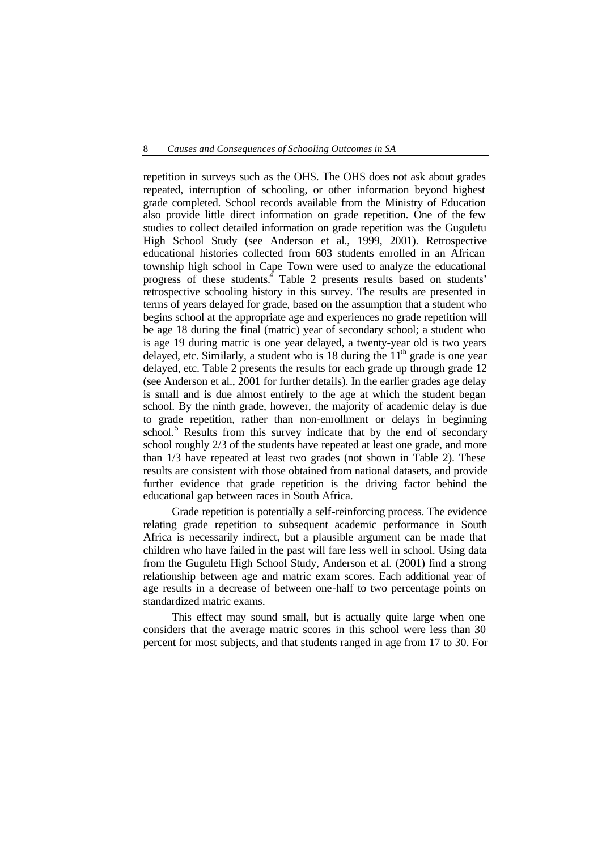repetition in surveys such as the OHS. The OHS does not ask about grades repeated, interruption of schooling, or other information beyond highest grade completed. School records available from the Ministry of Education also provide little direct information on grade repetition. One of the few studies to collect detailed information on grade repetition was the Guguletu High School Study (see Anderson et al., 1999, 2001). Retrospective educational histories collected from 603 students enrolled in an African township high school in Cape Town were used to analyze the educational progress of these students.<sup>4</sup> Table 2 presents results based on students' retrospective schooling history in this survey. The results are presented in terms of years delayed for grade, based on the assumption that a student who begins school at the appropriate age and experiences no grade repetition will be age 18 during the final (matric) year of secondary school; a student who is age 19 during matric is one year delayed, a twenty-year old is two years delayed, etc. Similarly, a student who is 18 during the  $11<sup>th</sup>$  grade is one year delayed, etc. Table 2 presents the results for each grade up through grade 12 (see Anderson et al., 2001 for further details). In the earlier grades age delay is small and is due almost entirely to the age at which the student began school. By the ninth grade, however, the majority of academic delay is due to grade repetition, rather than non-enrollment or delays in beginning school.<sup>5</sup> Results from this survey indicate that by the end of secondary school roughly 2/3 of the students have repeated at least one grade, and more than 1/3 have repeated at least two grades (not shown in Table 2). These results are consistent with those obtained from national datasets, and provide further evidence that grade repetition is the driving factor behind the educational gap between races in South Africa.

Grade repetition is potentially a self-reinforcing process. The evidence relating grade repetition to subsequent academic performance in South Africa is necessarily indirect, but a plausible argument can be made that children who have failed in the past will fare less well in school. Using data from the Guguletu High School Study, Anderson et al. (2001) find a strong relationship between age and matric exam scores. Each additional year of age results in a decrease of between one-half to two percentage points on standardized matric exams.

This effect may sound small, but is actually quite large when one considers that the average matric scores in this school were less than 30 percent for most subjects, and that students ranged in age from 17 to 30. For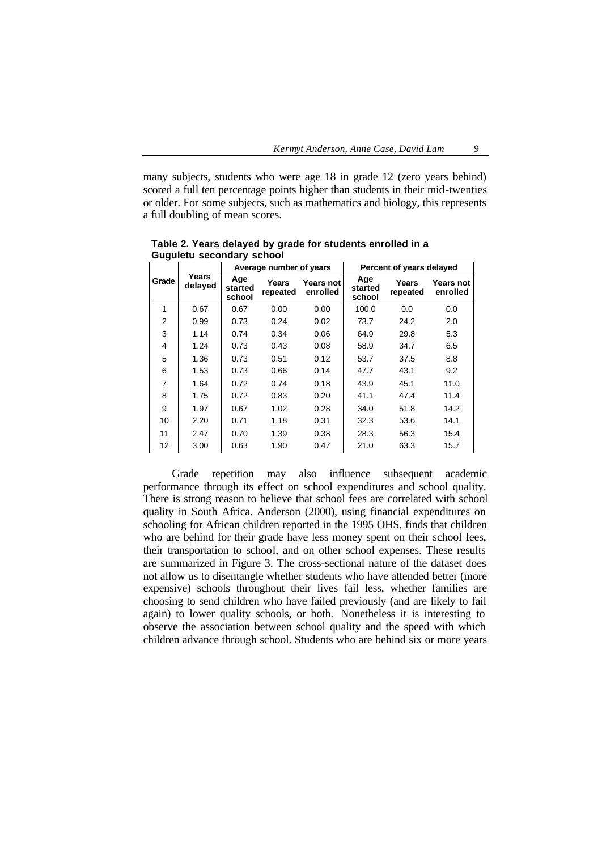many subjects, students who were age 18 in grade 12 (zero years behind) scored a full ten percentage points higher than students in their mid-twenties or older. For some subjects, such as mathematics and biology, this represents a full doubling of mean scores.

|                |                  |                          | Average number of years |                       | Percent of years delayed |                   |                       |  |
|----------------|------------------|--------------------------|-------------------------|-----------------------|--------------------------|-------------------|-----------------------|--|
| Grade          | Years<br>delayed | Age<br>started<br>school | Years<br>repeated       | Years not<br>enrolled | Age<br>started<br>school | Years<br>repeated | Years not<br>enrolled |  |
| 1              | 0.67             | 0.67                     | 0.00                    | 0.00                  | 100.0                    | 0.0               | 0.0                   |  |
| $\overline{2}$ | 0.99             | 0.73                     | 0.24                    | 0.02                  | 73.7                     | 24.2              | 2.0                   |  |
| 3              | 1.14             | 0.74                     | 0.34                    | 0.06                  | 64.9                     | 29.8              | 5.3                   |  |
| 4              | 1.24             | 0.73                     | 0.43                    | 0.08                  | 58.9                     | 34.7              | 6.5                   |  |
| 5              | 1.36             | 0.73                     | 0.51                    | 0.12                  | 53.7                     | 37.5              | 8.8                   |  |
| 6              | 1.53             | 0.73                     | 0.66                    | 0.14                  | 47.7                     | 43.1              | 9.2                   |  |
| 7              | 1.64             | 0.72                     | 0.74                    | 0.18                  | 43.9                     | 45.1              | 11.0                  |  |
| 8              | 1.75             | 0.72                     | 0.83                    | 0.20                  | 41.1                     | 47.4              | 11.4                  |  |
| 9              | 1.97             | 0.67                     | 1.02                    | 0.28                  | 34.0                     | 51.8              | 14.2                  |  |
| 10             | 2.20             | 0.71                     | 1.18                    | 0.31                  | 32.3                     | 53.6              | 14.1                  |  |
| 11             | 2.47             | 0.70                     | 1.39                    | 0.38                  | 28.3                     | 56.3              | 15.4                  |  |
| 12             | 3.00             | 0.63                     | 1.90                    | 0.47                  | 21.0                     | 63.3              | 15.7                  |  |

**Table 2. Years delayed by grade for students enrolled in a Guguletu secondary school**

Grade repetition may also influence subsequent academic performance through its effect on school expenditures and school quality. There is strong reason to believe that school fees are correlated with school quality in South Africa. Anderson (2000), using financial expenditures on schooling for African children reported in the 1995 OHS, finds that children who are behind for their grade have less money spent on their school fees, their transportation to school, and on other school expenses. These results are summarized in Figure 3. The cross-sectional nature of the dataset does not allow us to disentangle whether students who have attended better (more expensive) schools throughout their lives fail less, whether families are choosing to send children who have failed previously (and are likely to fail again) to lower quality schools, or both. Nonetheless it is interesting to observe the association between school quality and the speed with which children advance through school. Students who are behind six or more years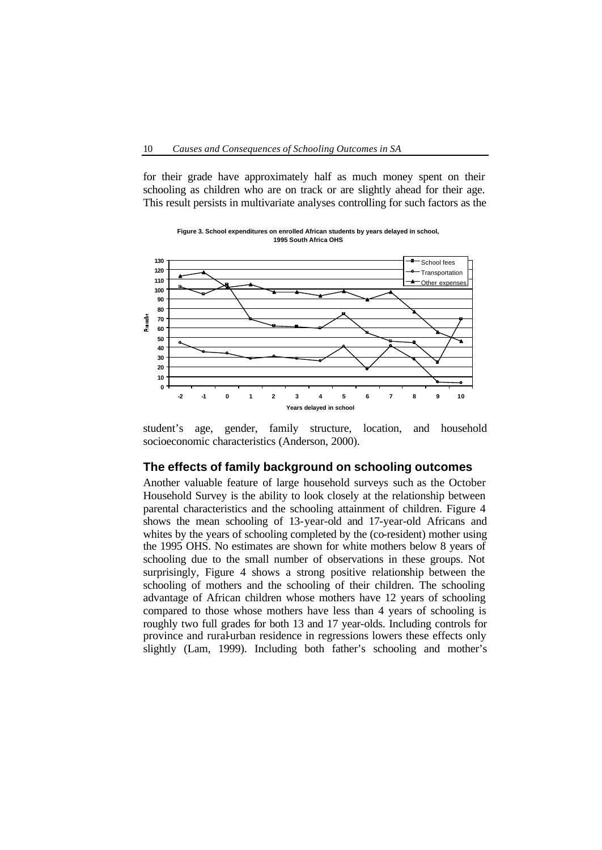for their grade have approximately half as much money spent on their schooling as children who are on track or are slightly ahead for their age. This result persists in multivariate analyses controlling for such factors as the



**Figure 3. School expenditures on enrolled African students by years delayed in school, 1995 South Africa OHS**

student's age, gender, family structure, location, and household socioeconomic characteristics (Anderson, 2000).

#### **The effects of family background on schooling outcomes**

Another valuable feature of large household surveys such as the October Household Survey is the ability to look closely at the relationship between parental characteristics and the schooling attainment of children. Figure 4 shows the mean schooling of 13-year-old and 17-year-old Africans and whites by the years of schooling completed by the (co-resident) mother using the 1995 OHS. No estimates are shown for white mothers below 8 years of schooling due to the small number of observations in these groups. Not surprisingly, Figure 4 shows a strong positive relationship between the schooling of mothers and the schooling of their children. The schooling advantage of African children whose mothers have 12 years of schooling compared to those whose mothers have less than 4 years of schooling is roughly two full grades for both 13 and 17 year-olds. Including controls for province and rural-urban residence in regressions lowers these effects only slightly (Lam, 1999). Including both father's schooling and mother's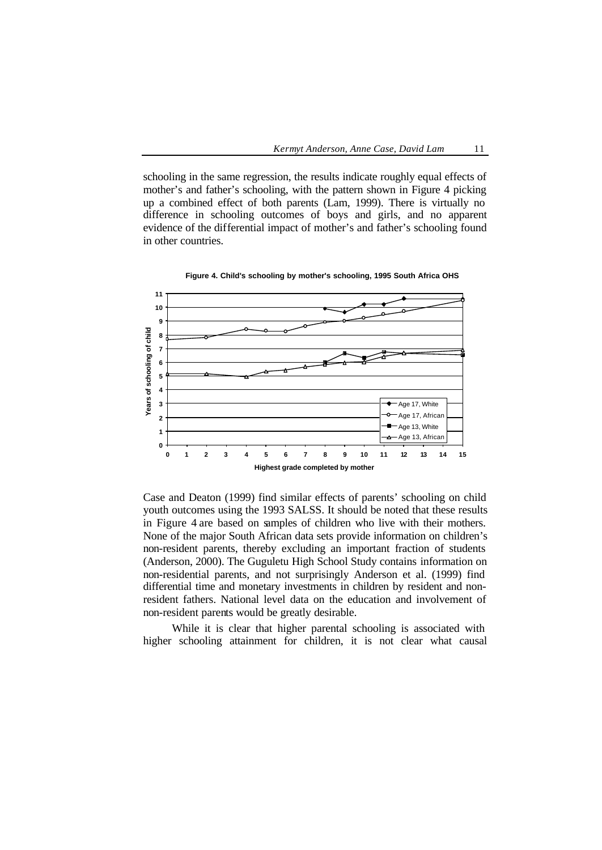schooling in the same regression, the results indicate roughly equal effects of mother's and father's schooling, with the pattern shown in Figure 4 picking up a combined effect of both parents (Lam, 1999). There is virtually no difference in schooling outcomes of boys and girls, and no apparent evidence of the differential impact of mother's and father's schooling found in other countries.



**Figure 4. Child's schooling by mother's schooling, 1995 South Africa OHS**

Case and Deaton (1999) find similar effects of parents' schooling on child youth outcomes using the 1993 SALSS. It should be noted that these results in Figure 4 are based on samples of children who live with their mothers. None of the major South African data sets provide information on children's non-resident parents, thereby excluding an important fraction of students (Anderson, 2000). The Guguletu High School Study contains information on non-residential parents, and not surprisingly Anderson et al. (1999) find differential time and monetary investments in children by resident and nonresident fathers. National level data on the education and involvement of non-resident parents would be greatly desirable.

While it is clear that higher parental schooling is associated with higher schooling attainment for children, it is not clear what causal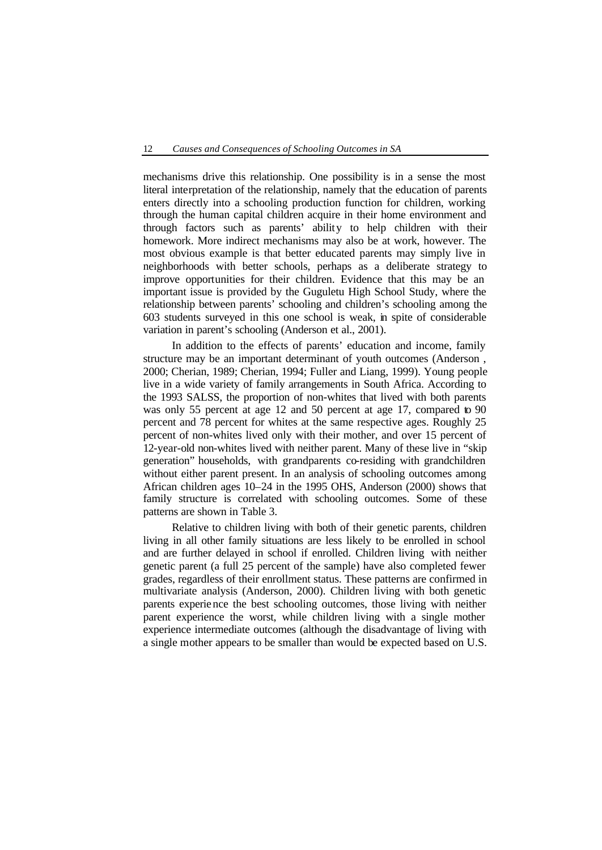mechanisms drive this relationship. One possibility is in a sense the most literal interpretation of the relationship, namely that the education of parents enters directly into a schooling production function for children, working through the human capital children acquire in their home environment and through factors such as parents' ability to help children with their homework. More indirect mechanisms may also be at work, however. The most obvious example is that better educated parents may simply live in neighborhoods with better schools, perhaps as a deliberate strategy to improve opportunities for their children. Evidence that this may be an important issue is provided by the Guguletu High School Study, where the relationship between parents' schooling and children's schooling among the 603 students surveyed in this one school is weak, in spite of considerable variation in parent's schooling (Anderson et al., 2001).

In addition to the effects of parents' education and income, family structure may be an important determinant of youth outcomes (Anderson , 2000; Cherian, 1989; Cherian, 1994; Fuller and Liang, 1999). Young people live in a wide variety of family arrangements in South Africa. According to the 1993 SALSS, the proportion of non-whites that lived with both parents was only 55 percent at age 12 and 50 percent at age 17, compared to 90 percent and 78 percent for whites at the same respective ages. Roughly 25 percent of non-whites lived only with their mother, and over 15 percent of 12-year-old non-whites lived with neither parent. Many of these live in "skip generation" households, with grandparents co-residing with grandchildren without either parent present. In an analysis of schooling outcomes among African children ages 10–24 in the 1995 OHS, Anderson (2000) shows that family structure is correlated with schooling outcomes. Some of these patterns are shown in Table 3.

Relative to children living with both of their genetic parents, children living in all other family situations are less likely to be enrolled in school and are further delayed in school if enrolled. Children living with neither genetic parent (a full 25 percent of the sample) have also completed fewer grades, regardless of their enrollment status. These patterns are confirmed in multivariate analysis (Anderson, 2000). Children living with both genetic parents experience the best schooling outcomes, those living with neither parent experience the worst, while children living with a single mother experience intermediate outcomes (although the disadvantage of living with a single mother appears to be smaller than would be expected based on U.S.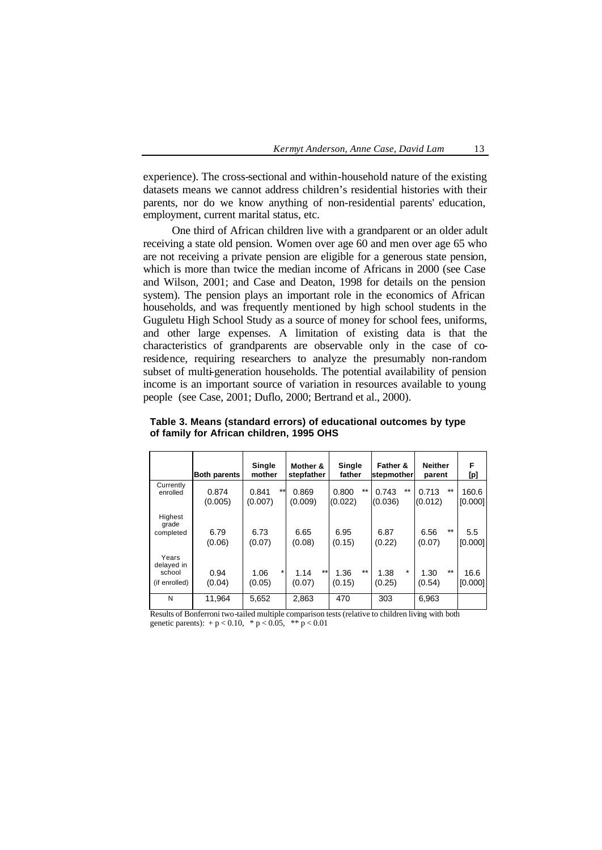experience). The cross-sectional and within-household nature of the existing datasets means we cannot address children's residential histories with their parents, nor do we know anything of non-residential parents' education, employment, current marital status, etc.

One third of African children live with a grandparent or an older adult receiving a state old pension. Women over age 60 and men over age 65 who are not receiving a private pension are eligible for a generous state pension, which is more than twice the median income of Africans in 2000 (see Case and Wilson, 2001; and Case and Deaton, 1998 for details on the pension system). The pension plays an important role in the economics of African households, and was frequently mentioned by high school students in the Guguletu High School Study as a source of money for school fees, uniforms, and other large expenses. A limitation of existing data is that the characteristics of grandparents are observable only in the case of coresidence, requiring researchers to analyze the presumably non-random subset of multi-generation households. The potential availability of pension income is an important source of variation in resources available to young people (see Case, 2001; Duflo, 2000; Bertrand et al., 2000).

|                                                | <b>Both parents</b> | Single<br>mother         | Mother &<br>stepfather | <b>Single</b><br>father  | Father &<br>stepmother    | <b>Neither</b><br>parent | F<br>[p]         |
|------------------------------------------------|---------------------|--------------------------|------------------------|--------------------------|---------------------------|--------------------------|------------------|
| Currently<br>enrolled                          | 0.874<br>(0.005)    | $**$<br>0.841<br>(0.007) | 0.869<br>(0.009)       | $**$<br>0.800<br>(0.022) | $***$<br>0.743<br>(0.036) | $**$<br>0.713<br>(0.012) | 160.6<br>[0.000] |
| Highest<br>grade<br>completed                  | 6.79<br>(0.06)      | 6.73<br>(0.07)           | 6.65<br>(0.08)         | 6.95<br>(0.15)           | 6.87<br>(0.22)            | $*$<br>6.56<br>(0.07)    | 5.5<br>[0.000]   |
| Years<br>delayed in<br>school<br>(if enrolled) | 0.94<br>(0.04)      | 1.06<br>(0.05)           | $**$<br>1.14<br>(0.07) | $**$<br>1.36<br>(0.15)   | $\star$<br>1.38<br>(0.25) | $**$<br>1.30<br>(0.54)   | 16.6<br>[0.000]  |
| N                                              | 11.964              | 5,652<br>.               | 2,863                  | 470                      | 303<br>.  .               | 6,963<br>.<br>.          |                  |

**Table 3. Means (standard errors) of educational outcomes by type of family for African children, 1995 OHS**

Results of Bonferroni two-tailed multiple comparison tests (relative to children living with both genetic parents):  $+p < 0.10$ ,  $\binom{p}{0.05}$ ,  $\binom{p}{0.01}$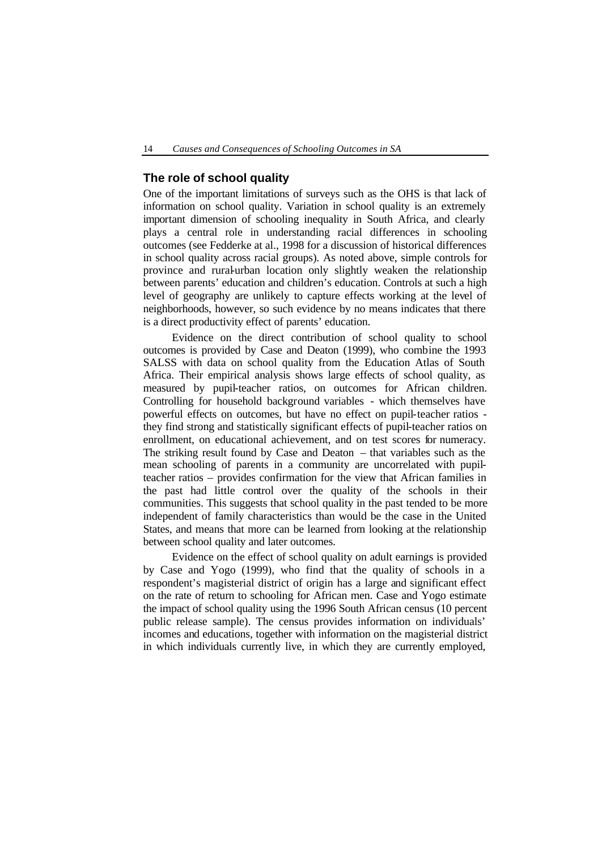#### **The role of school quality**

One of the important limitations of surveys such as the OHS is that lack of information on school quality. Variation in school quality is an extremely important dimension of schooling inequality in South Africa, and clearly plays a central role in understanding racial differences in schooling outcomes (see Fedderke at al., 1998 for a discussion of historical differences in school quality across racial groups). As noted above, simple controls for province and rural-urban location only slightly weaken the relationship between parents' education and children's education. Controls at such a high level of geography are unlikely to capture effects working at the level of neighborhoods, however, so such evidence by no means indicates that there is a direct productivity effect of parents' education.

Evidence on the direct contribution of school quality to school outcomes is provided by Case and Deaton (1999), who combine the 1993 SALSS with data on school quality from the Education Atlas of South Africa. Their empirical analysis shows large effects of school quality, as measured by pupil-teacher ratios, on outcomes for African children. Controlling for household background variables - which themselves have powerful effects on outcomes, but have no effect on pupil-teacher ratios they find strong and statistically significant effects of pupil-teacher ratios on enrollment, on educational achievement, and on test scores for numeracy. The striking result found by Case and Deaton – that variables such as the mean schooling of parents in a community are uncorrelated with pupilteacher ratios – provides confirmation for the view that African families in the past had little control over the quality of the schools in their communities. This suggests that school quality in the past tended to be more independent of family characteristics than would be the case in the United States, and means that more can be learned from looking at the relationship between school quality and later outcomes.

Evidence on the effect of school quality on adult earnings is provided by Case and Yogo (1999), who find that the quality of schools in a respondent's magisterial district of origin has a large and significant effect on the rate of return to schooling for African men. Case and Yogo estimate the impact of school quality using the 1996 South African census (10 percent public release sample). The census provides information on individuals' incomes and educations, together with information on the magisterial district in which individuals currently live, in which they are currently employed,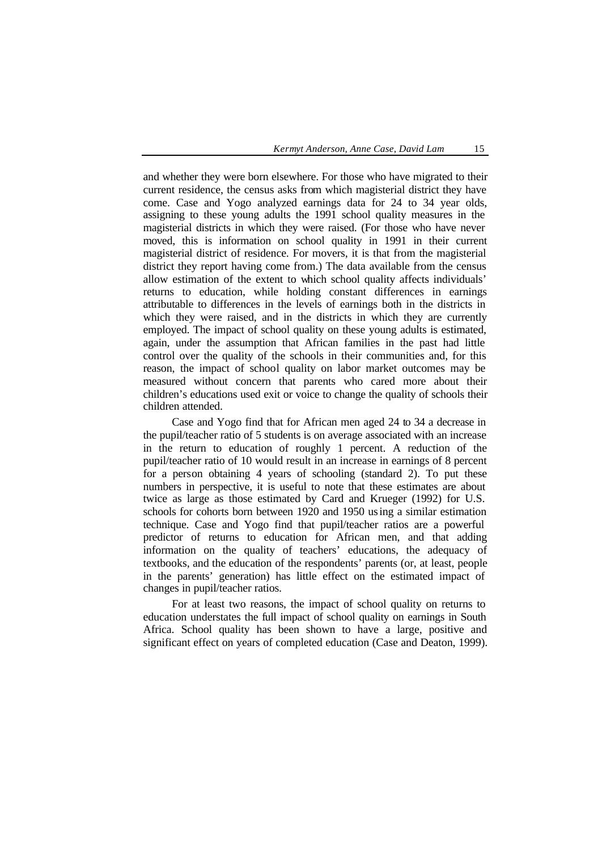and whether they were born elsewhere. For those who have migrated to their current residence, the census asks from which magisterial district they have come. Case and Yogo analyzed earnings data for 24 to 34 year olds, assigning to these young adults the 1991 school quality measures in the magisterial districts in which they were raised. (For those who have never moved, this is information on school quality in 1991 in their current magisterial district of residence. For movers, it is that from the magisterial district they report having come from.) The data available from the census allow estimation of the extent to which school quality affects individuals' returns to education, while holding constant differences in earnings attributable to differences in the levels of earnings both in the districts in which they were raised, and in the districts in which they are currently employed. The impact of school quality on these young adults is estimated, again, under the assumption that African families in the past had little control over the quality of the schools in their communities and, for this reason, the impact of school quality on labor market outcomes may be measured without concern that parents who cared more about their children's educations used exit or voice to change the quality of schools their children attended.

Case and Yogo find that for African men aged 24 to 34 a decrease in the pupil/teacher ratio of 5 students is on average associated with an increase in the return to education of roughly 1 percent. A reduction of the pupil/teacher ratio of 10 would result in an increase in earnings of 8 percent for a person obtaining 4 years of schooling (standard 2). To put these numbers in perspective, it is useful to note that these estimates are about twice as large as those estimated by Card and Krueger (1992) for U.S. schools for cohorts born between 1920 and 1950 using a similar estimation technique. Case and Yogo find that pupil/teacher ratios are a powerful predictor of returns to education for African men, and that adding information on the quality of teachers' educations, the adequacy of textbooks, and the education of the respondents' parents (or, at least, people in the parents' generation) has little effect on the estimated impact of changes in pupil/teacher ratios.

For at least two reasons, the impact of school quality on returns to education understates the full impact of school quality on earnings in South Africa. School quality has been shown to have a large, positive and significant effect on years of completed education (Case and Deaton, 1999).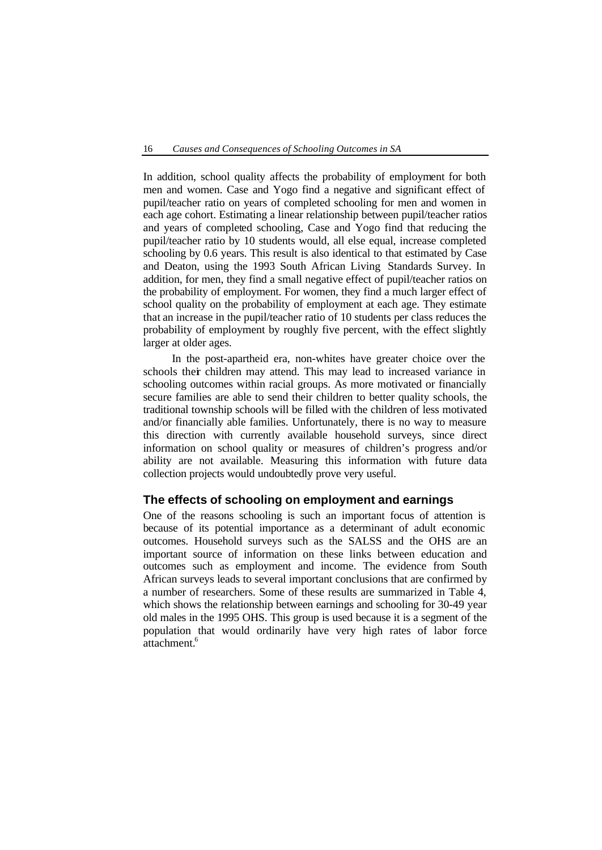In addition, school quality affects the probability of employment for both men and women. Case and Yogo find a negative and significant effect of pupil/teacher ratio on years of completed schooling for men and women in each age cohort. Estimating a linear relationship between pupil/teacher ratios and years of completed schooling, Case and Yogo find that reducing the pupil/teacher ratio by 10 students would, all else equal, increase completed schooling by 0.6 years. This result is also identical to that estimated by Case and Deaton, using the 1993 South African Living Standards Survey. In addition, for men, they find a small negative effect of pupil/teacher ratios on the probability of employment. For women, they find a much larger effect of school quality on the probability of employment at each age. They estimate that an increase in the pupil/teacher ratio of 10 students per class reduces the probability of employment by roughly five percent, with the effect slightly larger at older ages.

In the post-apartheid era, non-whites have greater choice over the schools their children may attend. This may lead to increased variance in schooling outcomes within racial groups. As more motivated or financially secure families are able to send their children to better quality schools, the traditional township schools will be filled with the children of less motivated and/or financially able families. Unfortunately, there is no way to measure this direction with currently available household surveys, since direct information on school quality or measures of children's progress and/or ability are not available. Measuring this information with future data collection projects would undoubtedly prove very useful.

#### **The effects of schooling on employment and earnings**

One of the reasons schooling is such an important focus of attention is because of its potential importance as a determinant of adult economic outcomes. Household surveys such as the SALSS and the OHS are an important source of information on these links between education and outcomes such as employment and income. The evidence from South African surveys leads to several important conclusions that are confirmed by a number of researchers. Some of these results are summarized in Table 4, which shows the relationship between earnings and schooling for 30-49 year old males in the 1995 OHS. This group is used because it is a segment of the population that would ordinarily have very high rates of labor force attachment.<sup>6</sup>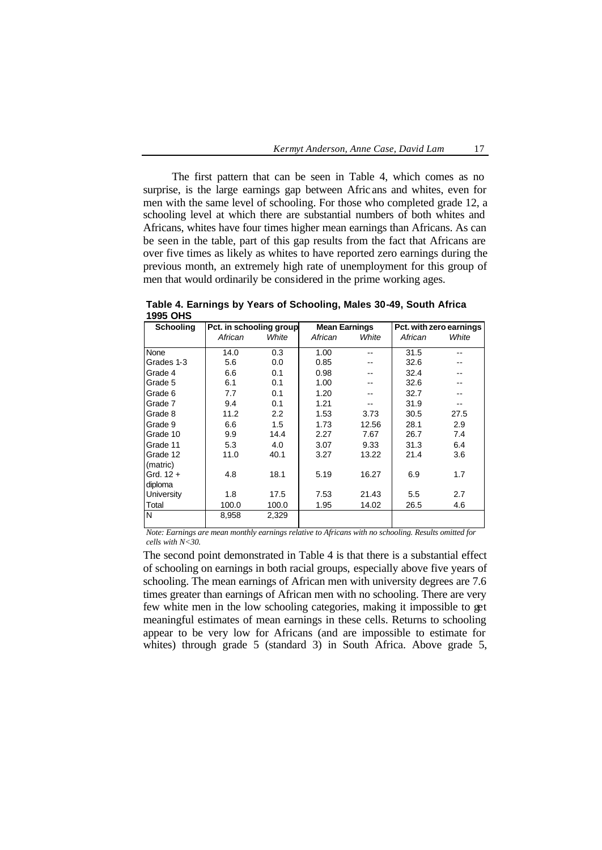The first pattern that can be seen in Table 4, which comes as no surprise, is the large earnings gap between Afric ans and whites, even for men with the same level of schooling. For those who completed grade 12, a schooling level at which there are substantial numbers of both whites and Africans, whites have four times higher mean earnings than Africans. As can be seen in the table, part of this gap results from the fact that Africans are over five times as likely as whites to have reported zero earnings during the previous month, an extremely high rate of unemployment for this group of men that would ordinarily be considered in the prime working ages.

| Schooling   | Pct. in schooling group |       | <b>Mean Earnings</b> |       | Pct. with zero earnings |       |  |
|-------------|-------------------------|-------|----------------------|-------|-------------------------|-------|--|
|             | African                 | White | African              | White | African                 | White |  |
| None        | 14.0                    | 0.3   | 1.00                 |       | 31.5                    |       |  |
| Grades 1-3  | 5.6                     | 0.0   | 0.85                 |       | 32.6                    |       |  |
| Grade 4     | 6.6                     | 0.1   | 0.98                 |       | 32.4                    |       |  |
| Grade 5     | 6.1                     | 0.1   | 1.00                 |       | 32.6                    | --    |  |
| Grade 6     | 7.7                     | 0.1   | 1.20                 |       | 32.7                    |       |  |
| Grade 7     | 9.4                     | 0.1   | 1.21                 |       | 31.9                    |       |  |
| Grade 8     | 11.2                    | 2.2   | 1.53                 | 3.73  | 30.5                    | 27.5  |  |
| Grade 9     | 6.6                     | 1.5   | 1.73                 | 12.56 | 28.1                    | 2.9   |  |
| Grade 10    | 9.9                     | 14.4  | 2.27                 | 7.67  | 26.7                    | 7.4   |  |
| Grade 11    | 5.3                     | 4.0   | 3.07                 | 9.33  | 31.3                    | 6.4   |  |
| Grade 12    | 11.0                    | 40.1  | 3.27                 | 13.22 | 21.4                    | 3.6   |  |
| (matric)    |                         |       |                      |       |                         |       |  |
| Grd. $12 +$ | 4.8                     | 18.1  | 5.19                 | 16.27 | 6.9                     | 1.7   |  |
| diploma     |                         |       |                      |       |                         |       |  |
| University  | 1.8                     | 17.5  | 7.53                 | 21.43 | 5.5                     | 2.7   |  |
| Total       | 100.0                   | 100.0 | 1.95                 | 14.02 | 26.5                    | 4.6   |  |
| N           | 8,958                   | 2,329 |                      |       |                         |       |  |
|             |                         |       |                      |       |                         |       |  |

**Table 4. Earnings by Years of Schooling, Males 30-49, South Africa 1995 OHS**

*Note: Earnings are mean monthly earnings relative to Africans with no schooling. Results omitted for cells with N<30.*

The second point demonstrated in Table 4 is that there is a substantial effect of schooling on earnings in both racial groups, especially above five years of schooling. The mean earnings of African men with university degrees are 7.6 times greater than earnings of African men with no schooling. There are very few white men in the low schooling categories, making it impossible to get meaningful estimates of mean earnings in these cells. Returns to schooling appear to be very low for Africans (and are impossible to estimate for whites) through grade 5 (standard 3) in South Africa. Above grade 5,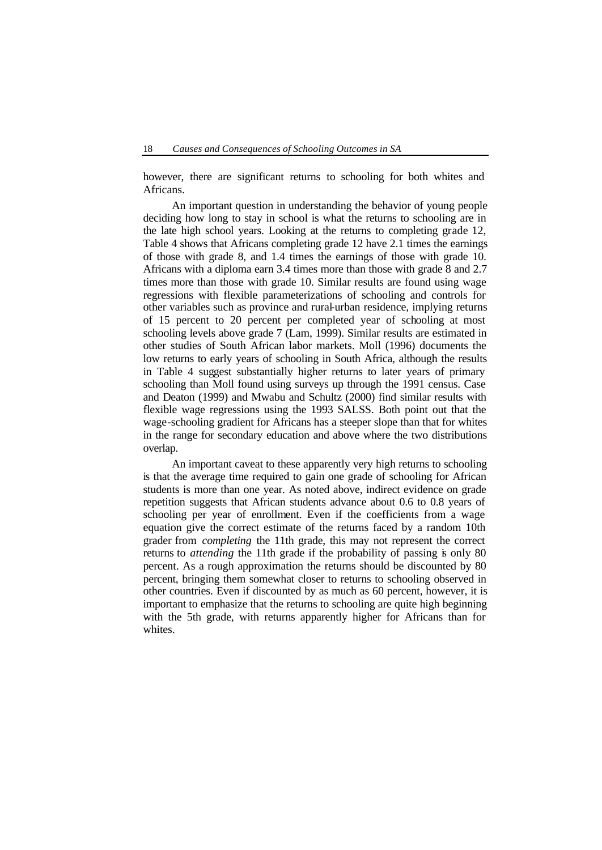however, there are significant returns to schooling for both whites and Africans.

An important question in understanding the behavior of young people deciding how long to stay in school is what the returns to schooling are in the late high school years. Looking at the returns to completing grade 12, Table 4 shows that Africans completing grade 12 have 2.1 times the earnings of those with grade 8, and 1.4 times the earnings of those with grade 10. Africans with a diploma earn 3.4 times more than those with grade 8 and 2.7 times more than those with grade 10. Similar results are found using wage regressions with flexible parameterizations of schooling and controls for other variables such as province and rural-urban residence, implying returns of 15 percent to 20 percent per completed year of schooling at most schooling levels above grade 7 (Lam, 1999). Similar results are estimated in other studies of South African labor markets. Moll (1996) documents the low returns to early years of schooling in South Africa, although the results in Table 4 suggest substantially higher returns to later years of primary schooling than Moll found using surveys up through the 1991 census. Case and Deaton (1999) and Mwabu and Schultz (2000) find similar results with flexible wage regressions using the 1993 SALSS. Both point out that the wage-schooling gradient for Africans has a steeper slope than that for whites in the range for secondary education and above where the two distributions overlap.

An important caveat to these apparently very high returns to schooling is that the average time required to gain one grade of schooling for African students is more than one year. As noted above, indirect evidence on grade repetition suggests that African students advance about 0.6 to 0.8 years of schooling per year of enrollment. Even if the coefficients from a wage equation give the correct estimate of the returns faced by a random 10th grader from *completing* the 11th grade, this may not represent the correct returns to *attending* the 11th grade if the probability of passing is only 80 percent. As a rough approximation the returns should be discounted by 80 percent, bringing them somewhat closer to returns to schooling observed in other countries. Even if discounted by as much as 60 percent, however, it is important to emphasize that the returns to schooling are quite high beginning with the 5th grade, with returns apparently higher for Africans than for whites.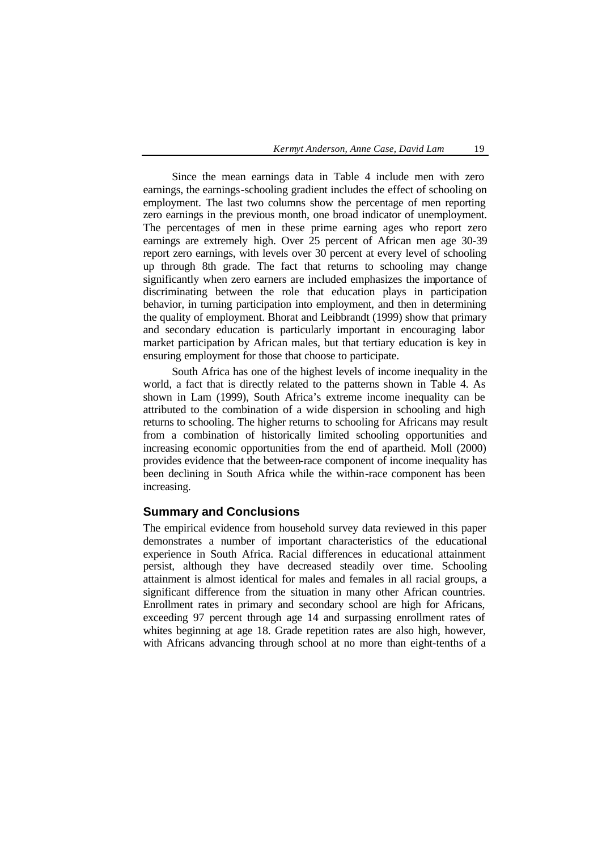Since the mean earnings data in Table 4 include men with zero earnings, the earnings-schooling gradient includes the effect of schooling on employment. The last two columns show the percentage of men reporting zero earnings in the previous month, one broad indicator of unemployment. The percentages of men in these prime earning ages who report zero earnings are extremely high. Over 25 percent of African men age 30-39 report zero earnings, with levels over 30 percent at every level of schooling up through 8th grade. The fact that returns to schooling may change significantly when zero earners are included emphasizes the importance of discriminating between the role that education plays in participation behavior, in turning participation into employment, and then in determining the quality of employment. Bhorat and Leibbrandt (1999) show that primary and secondary education is particularly important in encouraging labor market participation by African males, but that tertiary education is key in ensuring employment for those that choose to participate.

South Africa has one of the highest levels of income inequality in the world, a fact that is directly related to the patterns shown in Table 4. As shown in Lam (1999), South Africa's extreme income inequality can be attributed to the combination of a wide dispersion in schooling and high returns to schooling. The higher returns to schooling for Africans may result from a combination of historically limited schooling opportunities and increasing economic opportunities from the end of apartheid. Moll (2000) provides evidence that the between-race component of income inequality has been declining in South Africa while the within-race component has been increasing.

#### **Summary and Conclusions**

The empirical evidence from household survey data reviewed in this paper demonstrates a number of important characteristics of the educational experience in South Africa. Racial differences in educational attainment persist, although they have decreased steadily over time. Schooling attainment is almost identical for males and females in all racial groups, a significant difference from the situation in many other African countries. Enrollment rates in primary and secondary school are high for Africans, exceeding 97 percent through age 14 and surpassing enrollment rates of whites beginning at age 18. Grade repetition rates are also high, however, with Africans advancing through school at no more than eight-tenths of a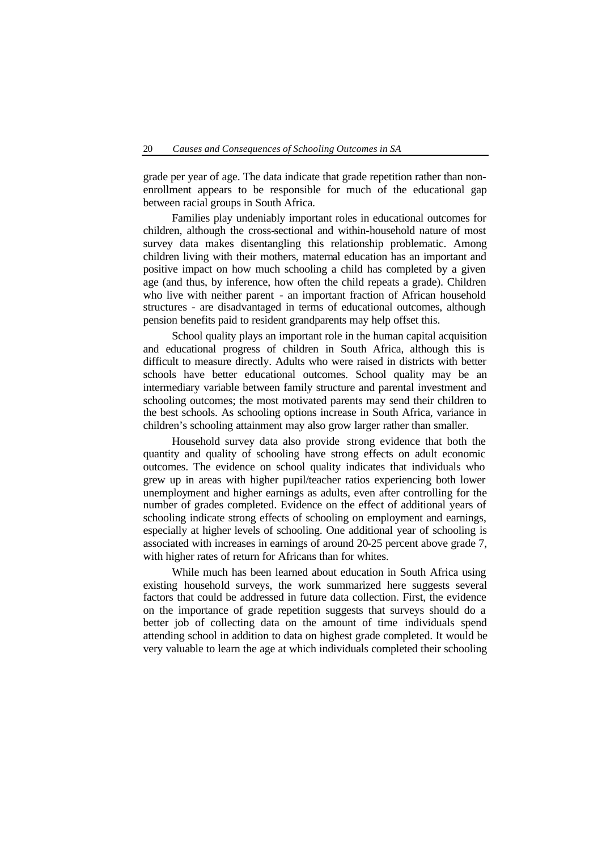grade per year of age. The data indicate that grade repetition rather than nonenrollment appears to be responsible for much of the educational gap between racial groups in South Africa.

Families play undeniably important roles in educational outcomes for children, although the cross-sectional and within-household nature of most survey data makes disentangling this relationship problematic. Among children living with their mothers, maternal education has an important and positive impact on how much schooling a child has completed by a given age (and thus, by inference, how often the child repeats a grade). Children who live with neither parent - an important fraction of African household structures - are disadvantaged in terms of educational outcomes, although pension benefits paid to resident grandparents may help offset this.

School quality plays an important role in the human capital acquisition and educational progress of children in South Africa, although this is difficult to measure directly. Adults who were raised in districts with better schools have better educational outcomes. School quality may be an intermediary variable between family structure and parental investment and schooling outcomes; the most motivated parents may send their children to the best schools. As schooling options increase in South Africa, variance in children's schooling attainment may also grow larger rather than smaller.

Household survey data also provide strong evidence that both the quantity and quality of schooling have strong effects on adult economic outcomes. The evidence on school quality indicates that individuals who grew up in areas with higher pupil/teacher ratios experiencing both lower unemployment and higher earnings as adults, even after controlling for the number of grades completed. Evidence on the effect of additional years of schooling indicate strong effects of schooling on employment and earnings, especially at higher levels of schooling. One additional year of schooling is associated with increases in earnings of around 20-25 percent above grade 7, with higher rates of return for Africans than for whites.

While much has been learned about education in South Africa using existing household surveys, the work summarized here suggests several factors that could be addressed in future data collection. First, the evidence on the importance of grade repetition suggests that surveys should do a better job of collecting data on the amount of time individuals spend attending school in addition to data on highest grade completed. It would be very valuable to learn the age at which individuals completed their schooling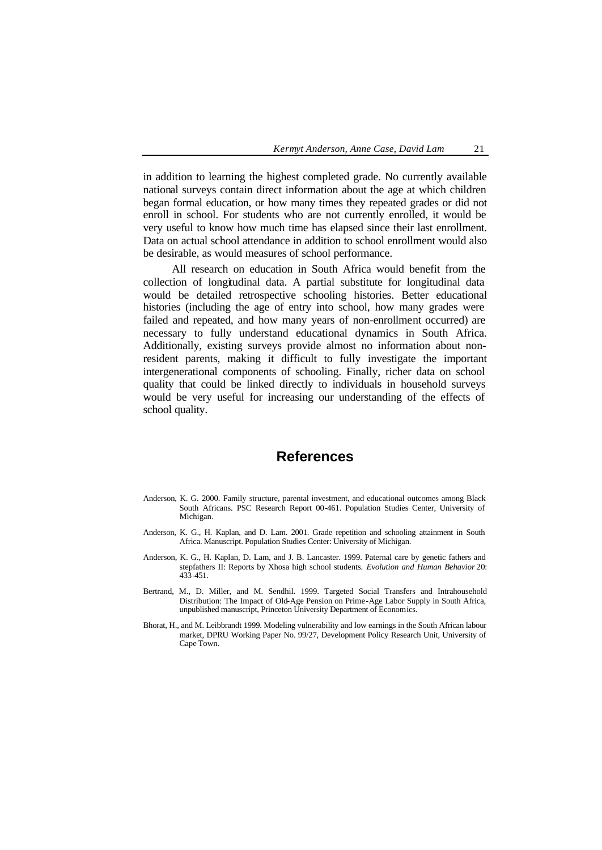in addition to learning the highest completed grade. No currently available national surveys contain direct information about the age at which children began formal education, or how many times they repeated grades or did not enroll in school. For students who are not currently enrolled, it would be very useful to know how much time has elapsed since their last enrollment. Data on actual school attendance in addition to school enrollment would also be desirable, as would measures of school performance.

All research on education in South Africa would benefit from the collection of longitudinal data. A partial substitute for longitudinal data would be detailed retrospective schooling histories. Better educational histories (including the age of entry into school, how many grades were failed and repeated, and how many years of non-enrollment occurred) are necessary to fully understand educational dynamics in South Africa. Additionally, existing surveys provide almost no information about nonresident parents, making it difficult to fully investigate the important intergenerational components of schooling. Finally, richer data on school quality that could be linked directly to individuals in household surveys would be very useful for increasing our understanding of the effects of school quality.

### **References**

- Anderson, K. G. 2000. Family structure, parental investment, and educational outcomes among Black South Africans. PSC Research Report 00-461. Population Studies Center, University of Michigan.
- Anderson, K. G., H. Kaplan, and D. Lam. 2001. Grade repetition and schooling attainment in South Africa. Manuscript. Population Studies Center: University of Michigan.
- Anderson, K. G., H. Kaplan, D. Lam, and J. B. Lancaster. 1999. Paternal care by genetic fathers and stepfathers II: Reports by Xhosa high school students. *Evolution and Human Behavior* 20: 433-451.
- Bertrand, M., D. Miller, and M. Sendhil. 1999. Targeted Social Transfers and Intrahousehold Distribution: The Impact of Old-Age Pension on Prime-Age Labor Supply in South Africa, unpublished manuscript, Princeton University Department of Economics.
- Bhorat, H., and M. Leibbrandt 1999. Modeling vulnerability and low earnings in the South African labour market, DPRU Working Paper No. 99/27, Development Policy Research Unit, University of Cape Town.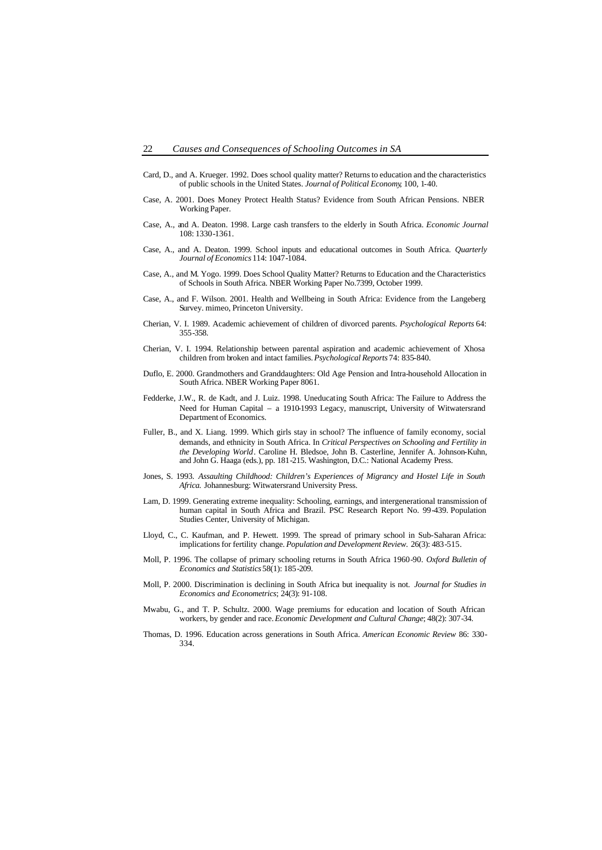- Card, D., and A. Krueger. 1992. Does school quality matter? Returns to education and the characteristics of public schools in the United States. *Journal of Political Economy*, 100, 1-40.
- Case, A. 2001. Does Money Protect Health Status? Evidence from South African Pensions. NBER Working Paper.
- Case, A., and A. Deaton. 1998. Large cash transfers to the elderly in South Africa. *Economic Journal* 108: 1330-1361.
- Case, A., and A. Deaton. 1999. School inputs and educational outcomes in South Africa. *Quarterly Journal of Economics* 114: 1047-1084.
- Case, A., and M. Yogo. 1999. Does School Quality Matter? Returns to Education and the Characteristics of Schools in South Africa. NBER Working Paper No.7399, October 1999.
- Case, A., and F. Wilson. 2001. Health and Wellbeing in South Africa: Evidence from the Langeberg Survey. mimeo, Princeton University.
- Cherian, V. I. 1989. Academic achievement of children of divorced parents. *Psychological Reports* 64: 355-358.
- Cherian, V. I. 1994. Relationship between parental aspiration and academic achievement of Xhosa children from broken and intact families. *Psychological Reports* 74: 835-840.
- Duflo, E. 2000. Grandmothers and Granddaughters: Old Age Pension and Intra-household Allocation in South Africa. NBER Working Paper 8061.
- Fedderke, J.W., R. de Kadt, and J. Luiz. 1998. Uneducating South Africa: The Failure to Address the Need for Human Capital – a 1910-1993 Legacy, manuscript, University of Witwatersrand Department of Economics.
- Fuller, B., and X. Liang. 1999. Which girls stay in school? The influence of family economy, social demands, and ethnicity in South Africa. In *Critical Perspectives on Schooling and Fertility in the Developing World*. Caroline H. Bledsoe, John B. Casterline, Jennifer A. Johnson-Kuhn, and John G. Haaga (eds.), pp. 181-215. Washington, D.C.: National Academy Press.
- Jones, S. 1993. *Assaulting Childhood: Children's Experiences of Migrancy and Hostel Life in South Africa.* Johannesburg: Witwatersrand University Press.
- Lam, D. 1999. Generating extreme inequality: Schooling, earnings, and intergenerational transmission of human capital in South Africa and Brazil. PSC Research Report No. 99-439. Population Studies Center, University of Michigan.
- Lloyd, C., C. Kaufman, and P. Hewett. 1999. The spread of primary school in Sub-Saharan Africa: implications for fertility change. *Population and Development Review.* 26(3): 483-515.
- Moll, P. 1996. The collapse of primary schooling returns in South Africa 1960-90. *Oxford Bulletin of Economics and Statistics* 58(1): 185-209.
- Moll, P. 2000. Discrimination is declining in South Africa but inequality is not. *Journal for Studies in Economics and Econometrics*; 24(3): 91-108.
- Mwabu, G., and T. P. Schultz. 2000. Wage premiums for education and location of South African workers, by gender and race. *Economic Development and Cultural Change*; 48(2): 307-34.
- Thomas, D. 1996. Education across generations in South Africa. *American Economic Review* 86: 330- 334.